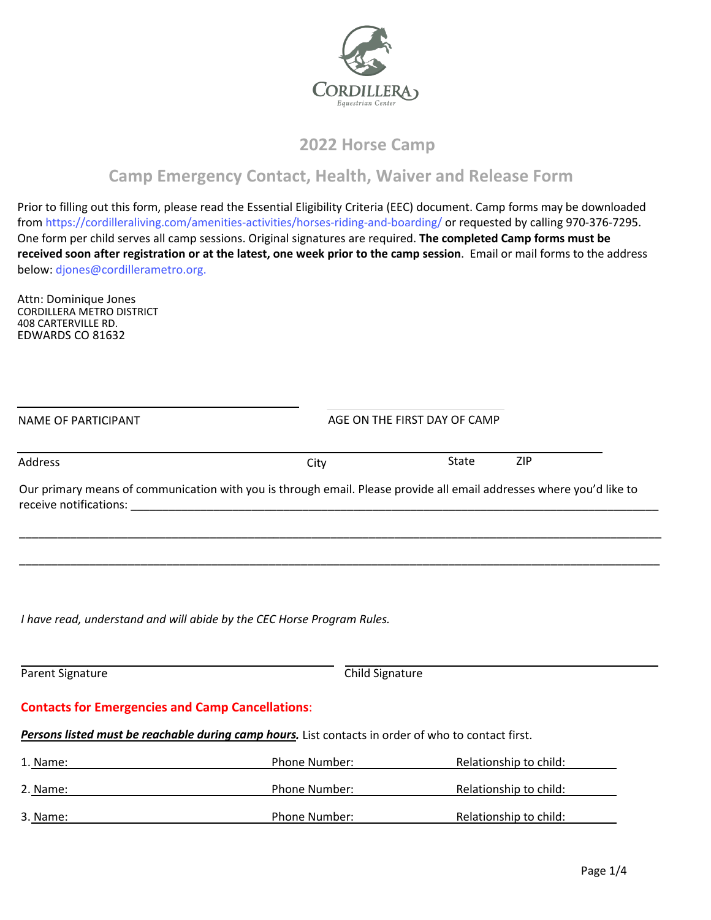

## **2022 Horse Camp**

# **Camp Emergency Contact, Health, Waiver and Release Form**

Prior to filling out this form, please read the Essential Eligibility Criteria (EEC) document. Camp forms may be downloaded from <https://cordilleraliving.com/amenities-activities/horses-riding-and-boarding/>or requested by calling 970-376-7295. One form per child serves all camp sessions. Original signatures are required. **The completed Camp forms must be**  received soon after registration or at the latest, one week prior to the camp session. Email or mail forms to the address below: djones@cordillerametro.org.

NAME OF PARTICIPANT AGE ON THE FIRST DAY OF CAMP

[Attn: Dominique Jones](mailto:djones@cordillerametro.org) CORDILLERA METRO DISTRICT 408 CARTERVILLE RD. EDWARDS CO 81632

| Address                                                 | City                                                                                                                 | <b>ZIP</b><br><b>State</b> |
|---------------------------------------------------------|----------------------------------------------------------------------------------------------------------------------|----------------------------|
|                                                         | Our primary means of communication with you is through email. Please provide all email addresses where you'd like to |                            |
|                                                         |                                                                                                                      |                            |
|                                                         |                                                                                                                      |                            |
|                                                         | I have read, understand and will abide by the CEC Horse Program Rules.                                               |                            |
| Parent Signature                                        | Child Signature                                                                                                      |                            |
| <b>Contacts for Emergencies and Camp Cancellations:</b> |                                                                                                                      |                            |
|                                                         | Persons listed must be reachable during camp hours. List contacts in order of who to contact first.                  |                            |
| 1. Name:                                                | Phone Number:                                                                                                        | Relationship to child:     |
| 2. Name:                                                | Phone Number:                                                                                                        | Relationship to child:     |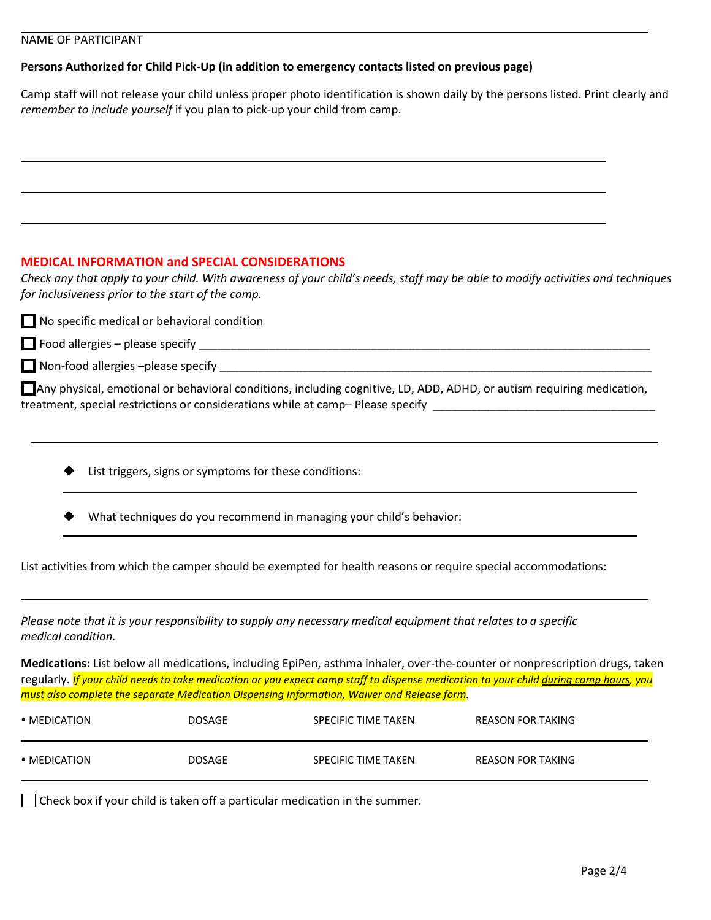### NAME OF PARTICIPANT

### **Persons Authorized for Child Pick-Up (in addition to emergency contacts listed on previous page)**

Camp staff will not release your child unless proper photo identification is shown daily by the persons listed. Print clearly and *remember to include yourself* if you plan to pick-up your child from camp.

### **MEDICAL INFORMATION and SPECIAL CONSIDERATIONS**

*Check any that apply to your child. With awareness of your child's needs, staff may be able to modify activities and techniques for inclusiveness prior to the start of the camp.* 

| $\Box$ No specific medical or behavioral condition                                                                                                                                                        |
|-----------------------------------------------------------------------------------------------------------------------------------------------------------------------------------------------------------|
| $\Box$ Food allergies – please specify $\Box$                                                                                                                                                             |
| $\Box$ Non-food allergies -please specify                                                                                                                                                                 |
| □ Any physical, emotional or behavioral conditions, including cognitive, LD, ADD, ADHD, or autism requiring medication,<br>treatment, special restrictions or considerations while at camp-Please specify |

- List triggers, signs or symptoms for these conditions:
- What techniques do you recommend in managing your child's behavior:

List activities from which the camper should be exempted for health reasons or require special accommodations:

*Please note that it is your responsibility to supply any necessary medical equipment that relates to a specific medical condition.*

**Medications:** List below all medications, including EpiPen, asthma inhaler, over-the-counter or nonprescription drugs, taken regularly. *If your child needs to take medication or you expect camp staff to dispense medication to your child during camp hours, you must also complete the separate Medication Dispensing Information, Waiver and Release form.*

| $\bullet$ MEDICATION | <b>DOSAGE</b> | SPECIFIC TIME TAKEN | REASON FOR TAKING |
|----------------------|---------------|---------------------|-------------------|
| $\bullet$ MEDICATION | <b>DOSAGE</b> | SPECIFIC TIME TAKEN | REASON FOR TAKING |

 $\Box$  Check box if your child is taken off a particular medication in the summer.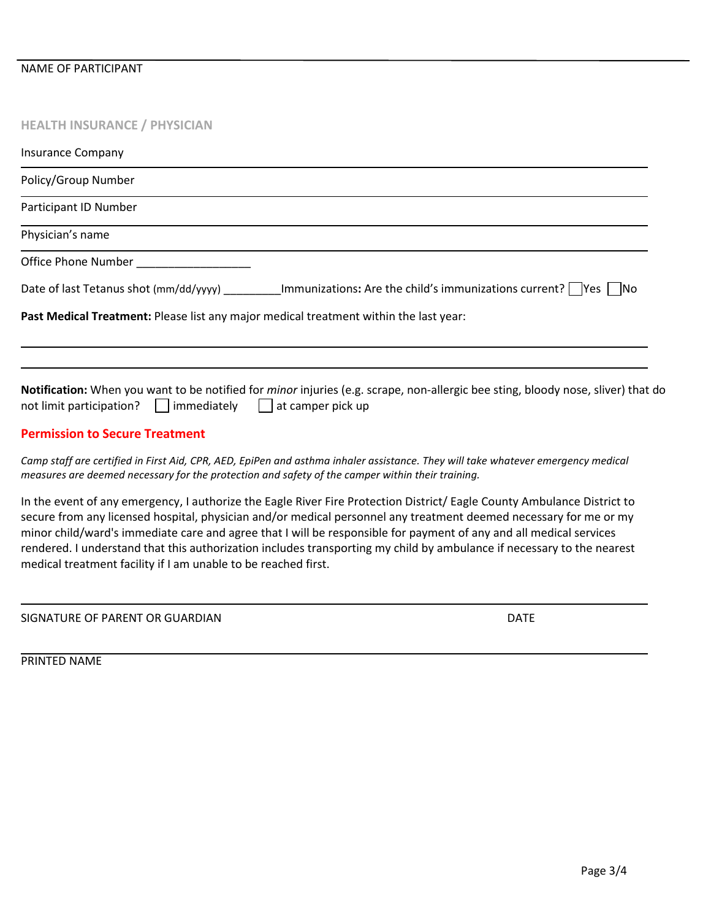## **HEALTH INSURANCE / PHYSICIAN**

| <b>Insurance Company</b>                                                                                                                                                                                                                                                                                                                                                                                                                                                                     |
|----------------------------------------------------------------------------------------------------------------------------------------------------------------------------------------------------------------------------------------------------------------------------------------------------------------------------------------------------------------------------------------------------------------------------------------------------------------------------------------------|
| Policy/Group Number                                                                                                                                                                                                                                                                                                                                                                                                                                                                          |
| Participant ID Number                                                                                                                                                                                                                                                                                                                                                                                                                                                                        |
| Physician's name                                                                                                                                                                                                                                                                                                                                                                                                                                                                             |
| Office Phone Number <b>Example 20</b>                                                                                                                                                                                                                                                                                                                                                                                                                                                        |
| Date of last Tetanus shot (mm/dd/yyyy) __________ Immunizations: Are the child's immunizations current?    Yes    No                                                                                                                                                                                                                                                                                                                                                                         |
| Past Medical Treatment: Please list any major medical treatment within the last year:                                                                                                                                                                                                                                                                                                                                                                                                        |
| Notification: When you want to be notified for <i>minor</i> injuries (e.g. scrape, non-allergic bee sting, bloody nose, sliver) that do<br>not limit participation?   immediately   at camper pick up                                                                                                                                                                                                                                                                                        |
| <b>Permission to Secure Treatment</b>                                                                                                                                                                                                                                                                                                                                                                                                                                                        |
| Camp staff are certified in First Aid, CPR, AED, EpiPen and asthma inhaler assistance. They will take whatever emergency medical<br>measures are deemed necessary for the protection and safety of the camper within their training.                                                                                                                                                                                                                                                         |
| In the event of any emergency, I authorize the Eagle River Fire Protection District/ Eagle County Ambulance District to<br>secure from any licensed hospital, physician and/or medical personnel any treatment deemed necessary for me or my<br>minor child/ward's immediate care and agree that I will be responsible for payment of any and all medical services<br>rendered. I understand that this authorization includes transporting my child by ambulance if necessary to the nearest |

medical treatment facility if I am unable to be reached first.

SIGNATURE OF PARENT OR GUARDIAN DATE

PRINTED NAME